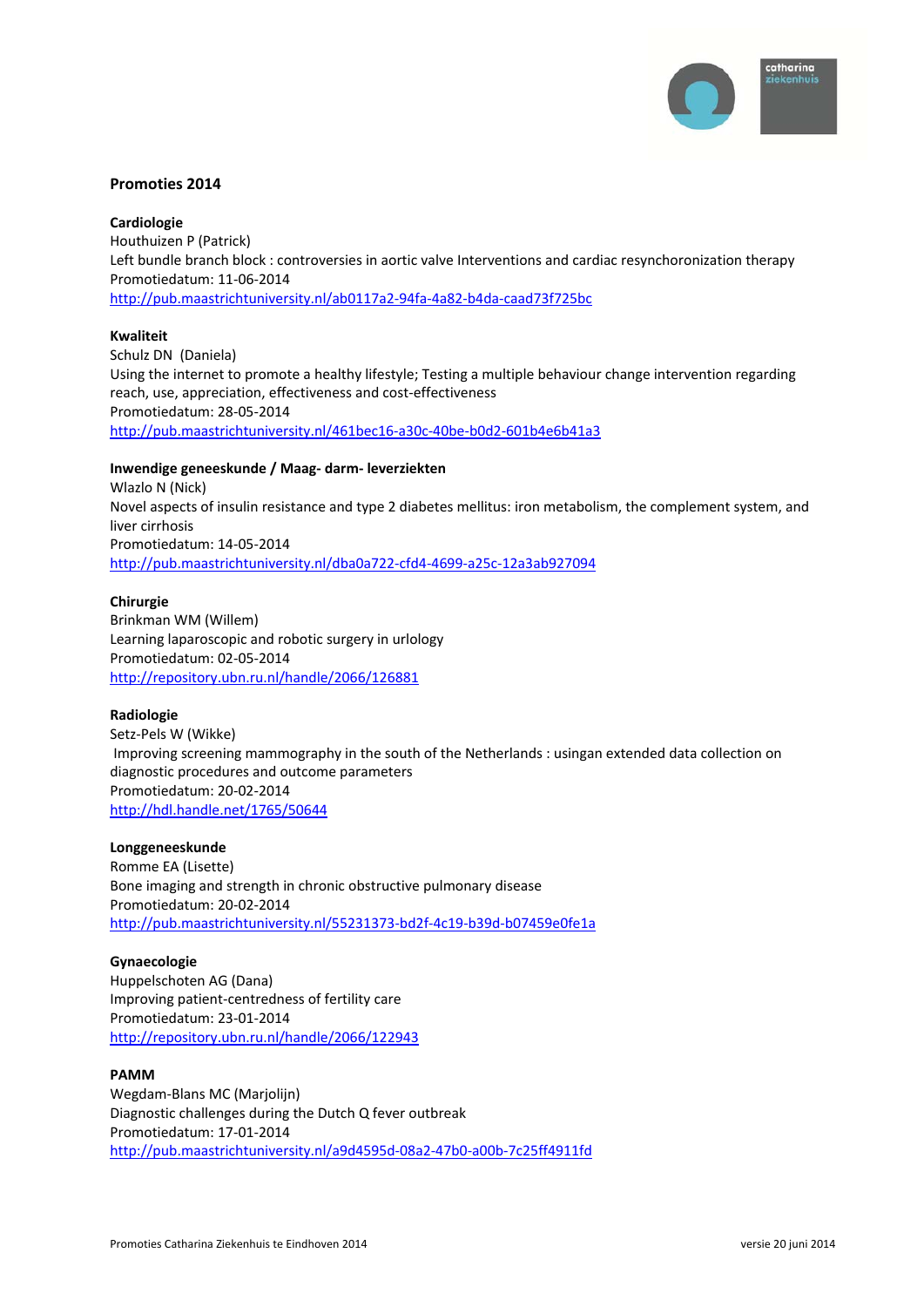

### **Promoties 2014**

### **Cardiologie**

Houthuizen P (Patrick) Left bundle branch block : controversies in aortic valve Interventions and cardiac resynchoronization therapy Promotiedatum: 11‐06‐2014 http://pub.maastrichtuniversity.nl/ab0117a2‐94fa‐4a82‐b4da‐caad73f725bc

## **Kwaliteit**

Schulz DN (Daniela) Using the internet to promote a healthy lifestyle; Testing a multiple behaviour change intervention regarding reach, use, appreciation, effectiveness and cost-effectiveness Promotiedatum: 28‐05‐2014 http://pub.maastrichtuniversity.nl/461bec16‐a30c‐40be‐b0d2‐601b4e6b41a3

# **Inwendige geneeskunde / Maag‐ darm‐ leverziekten**

Wlazlo N (Nick) Novel aspects of insulin resistance and type 2 diabetes mellitus: iron metabolism, the complement system, and liver cirrhosis Promotiedatum: 14‐05‐2014 http://pub.maastrichtuniversity.nl/dba0a722‐cfd4‐4699‐a25c‐12a3ab927094

## **Chirurgie**

Brinkman WM (Willem) Learning laparoscopic and robotic surgery in urlology Promotiedatum: 02‐05‐2014 http://repository.ubn.ru.nl/handle/2066/126881

### **Radiologie**

Setz‐Pels W (Wikke) Improving screening mammography in the south of the Netherlands : usingan extended data collection on diagnostic procedures and outcome parameters Promotiedatum: 20‐02‐2014 http://hdl.handle.net/1765/50644

### **Longgeneeskunde**

Romme EA (Lisette) Bone imaging and strength in chronic obstructive pulmonary disease Promotiedatum: 20‐02‐2014 http://pub.maastrichtuniversity.nl/55231373‐bd2f‐4c19‐b39d‐b07459e0fe1a

### **Gynaecologie**

Huppelschoten AG (Dana) Improving patient‐centredness of fertility care Promotiedatum: 23‐01‐2014 http://repository.ubn.ru.nl/handle/2066/122943

### **PAMM**

Wegdam‐Blans MC (Marjolijn) Diagnostic challenges during the Dutch Q fever outbreak Promotiedatum: 17‐01‐2014 http://pub.maastrichtuniversity.nl/a9d4595d‐08a2‐47b0‐a00b‐7c25ff4911fd